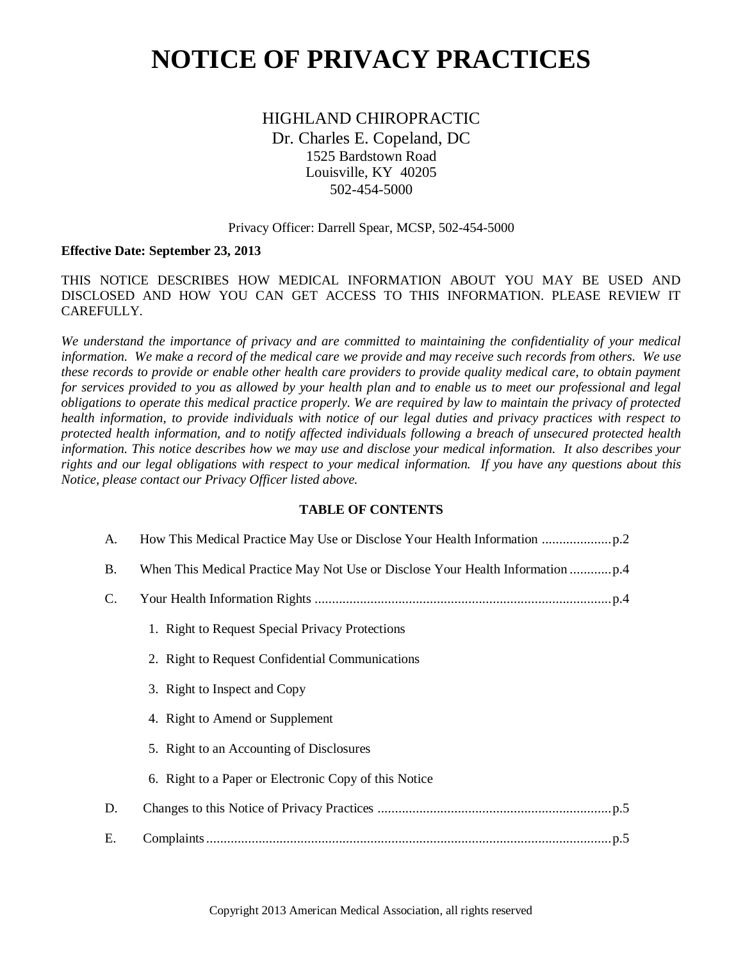# **NOTICE OF PRIVACY PRACTICES**

HIGHLAND CHIROPRACTIC Dr. Charles E. Copeland, DC 1525 Bardstown Road Louisville, KY 40205 502-454-5000

#### Privacy Officer: Darrell Spear, MCSP, 502-454-5000

#### **Effective Date: September 23, 2013**

THIS NOTICE DESCRIBES HOW MEDICAL INFORMATION ABOUT YOU MAY BE USED AND DISCLOSED AND HOW YOU CAN GET ACCESS TO THIS INFORMATION. PLEASE REVIEW IT CAREFULLY.

*We understand the importance of privacy and are committed to maintaining the confidentiality of your medical information. We make a record of the medical care we provide and may receive such records from others. We use these records to provide or enable other health care providers to provide quality medical care, to obtain payment for services provided to you as allowed by your health plan and to enable us to meet our professional and legal obligations to operate this medical practice properly. We are required by law to maintain the privacy of protected health information, to provide individuals with notice of our legal duties and privacy practices with respect to protected health information, and to notify affected individuals following a breach of unsecured protected health information. This notice describes how we may use and disclose your medical information. It also describes your rights and our legal obligations with respect to your medical information. If you have any questions about this Notice, please contact our Privacy Officer listed above.*

#### **TABLE OF CONTENTS**

| A.             |                                                       |
|----------------|-------------------------------------------------------|
| <b>B.</b>      |                                                       |
| $\mathbf{C}$ . |                                                       |
|                | 1. Right to Request Special Privacy Protections       |
|                | 2. Right to Request Confidential Communications       |
|                | 3. Right to Inspect and Copy                          |
|                | 4. Right to Amend or Supplement                       |
|                | 5. Right to an Accounting of Disclosures              |
|                | 6. Right to a Paper or Electronic Copy of this Notice |
| D.             |                                                       |
| Е.             |                                                       |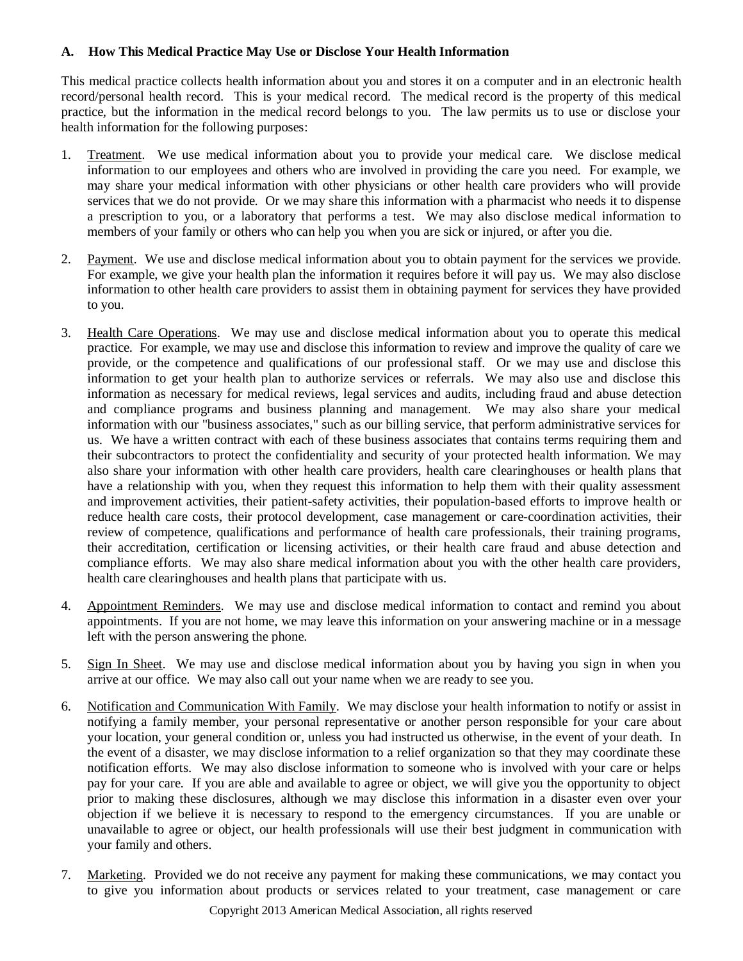## <span id="page-1-0"></span>**A. How This Medical Practice May Use or Disclose Your Health Information**

This medical practice collects health information about you and stores it on a computer and in an electronic health record/personal health record. This is your medical record. The medical record is the property of this medical practice, but the information in the medical record belongs to you. The law permits us to use or disclose your health information for the following purposes:

- 1. Treatment. We use medical information about you to provide your medical care. We disclose medical information to our employees and others who are involved in providing the care you need. For example, we may share your medical information with other physicians or other health care providers who will provide services that we do not provide. Or we may share this information with a pharmacist who needs it to dispense a prescription to you, or a laboratory that performs a test. We may also disclose medical information to members of your family or others who can help you when you are sick or injured, or after you die.
- 2. Payment. We use and disclose medical information about you to obtain payment for the services we provide. For example, we give your health plan the information it requires before it will pay us. We may also disclose information to other health care providers to assist them in obtaining payment for services they have provided to you.
- 3. Health Care Operations. We may use and disclose medical information about you to operate this medical practice. For example, we may use and disclose this information to review and improve the quality of care we provide, or the competence and qualifications of our professional staff. Or we may use and disclose this information to get your health plan to authorize services or referrals. We may also use and disclose this information as necessary for medical reviews, legal services and audits, including fraud and abuse detection and compliance programs and business planning and management. We may also share your medical information with our "business associates," such as our billing service, that perform administrative services for us. We have a written contract with each of these business associates that contains terms requiring them and their subcontractors to protect the confidentiality and security of your protected health information. We may also share your information with other health care providers, health care clearinghouses or health plans that have a relationship with you, when they request this information to help them with their quality assessment and improvement activities, their patient-safety activities, their population-based efforts to improve health or reduce health care costs, their protocol development, case management or care-coordination activities, their review of competence, qualifications and performance of health care professionals, their training programs, their accreditation, certification or licensing activities, or their health care fraud and abuse detection and compliance efforts. We may also share medical information about you with the other health care providers, health care clearinghouses and health plans that participate with us.
- 4. Appointment Reminders. We may use and disclose medical information to contact and remind you about appointments. If you are not home, we may leave this information on your answering machine or in a message left with the person answering the phone.
- 5. Sign In Sheet. We may use and disclose medical information about you by having you sign in when you arrive at our office. We may also call out your name when we are ready to see you.
- 6. Notification and Communication With Family. We may disclose your health information to notify or assist in notifying a family member, your personal representative or another person responsible for your care about your location, your general condition or, unless you had instructed us otherwise, in the event of your death. In the event of a disaster, we may disclose information to a relief organization so that they may coordinate these notification efforts. We may also disclose information to someone who is involved with your care or helps pay for your care. If you are able and available to agree or object, we will give you the opportunity to object prior to making these disclosures, although we may disclose this information in a disaster even over your objection if we believe it is necessary to respond to the emergency circumstances. If you are unable or unavailable to agree or object, our health professionals will use their best judgment in communication with your family and others.
- 7. Marketing. Provided we do not receive any payment for making these communications, we may contact you to give you information about products or services related to your treatment, case management or care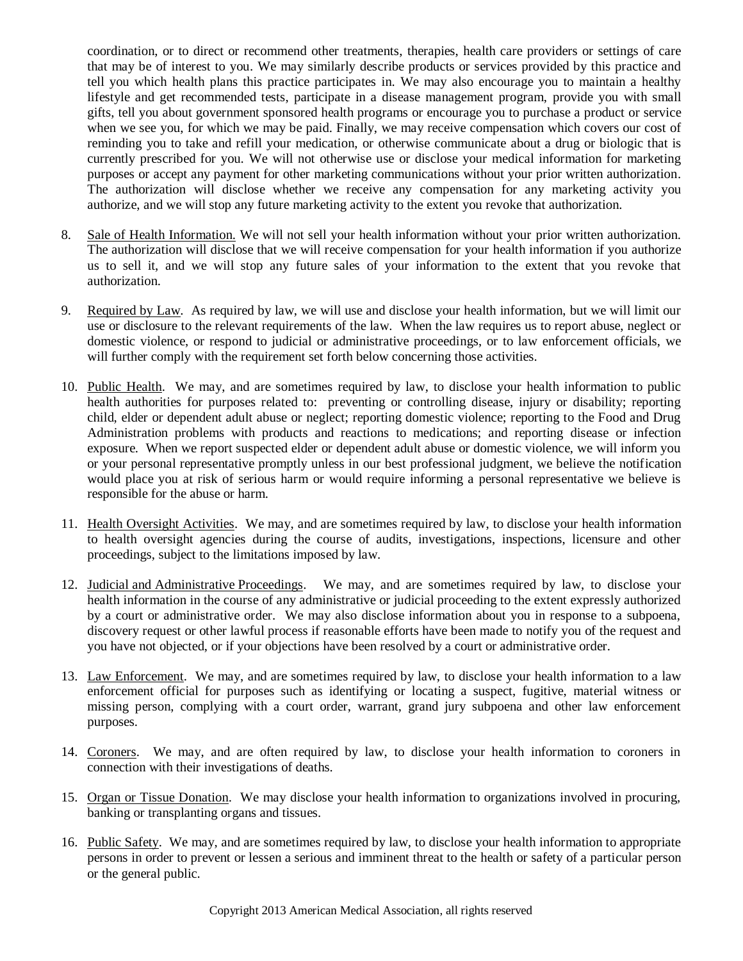coordination, or to direct or recommend other treatments, therapies, health care providers or settings of care that may be of interest to you. We may similarly describe products or services provided by this practice and tell you which health plans this practice participates in. We may also encourage you to maintain a healthy lifestyle and get recommended tests, participate in a disease management program, provide you with small gifts, tell you about government sponsored health programs or encourage you to purchase a product or service when we see you, for which we may be paid. Finally, we may receive compensation which covers our cost of reminding you to take and refill your medication, or otherwise communicate about a drug or biologic that is currently prescribed for you. We will not otherwise use or disclose your medical information for marketing purposes or accept any payment for other marketing communications without your prior written authorization. The authorization will disclose whether we receive any compensation for any marketing activity you authorize, and we will stop any future marketing activity to the extent you revoke that authorization.

- 8. Sale of Health Information. We will not sell your health information without your prior written authorization. The authorization will disclose that we will receive compensation for your health information if you authorize us to sell it, and we will stop any future sales of your information to the extent that you revoke that authorization.
- 9. Required by Law. As required by law, we will use and disclose your health information, but we will limit our use or disclosure to the relevant requirements of the law. When the law requires us to report abuse, neglect or domestic violence, or respond to judicial or administrative proceedings, or to law enforcement officials, we will further comply with the requirement set forth below concerning those activities.
- 10. Public Health. We may, and are sometimes required by law, to disclose your health information to public health authorities for purposes related to: preventing or controlling disease, injury or disability; reporting child, elder or dependent adult abuse or neglect; reporting domestic violence; reporting to the Food and Drug Administration problems with products and reactions to medications; and reporting disease or infection exposure. When we report suspected elder or dependent adult abuse or domestic violence, we will inform you or your personal representative promptly unless in our best professional judgment, we believe the notification would place you at risk of serious harm or would require informing a personal representative we believe is responsible for the abuse or harm.
- 11. Health Oversight Activities. We may, and are sometimes required by law, to disclose your health information to health oversight agencies during the course of audits, investigations, inspections, licensure and other proceedings, subject to the limitations imposed by law.
- 12. Judicial and Administrative Proceedings. We may, and are sometimes required by law, to disclose your health information in the course of any administrative or judicial proceeding to the extent expressly authorized by a court or administrative order. We may also disclose information about you in response to a subpoena, discovery request or other lawful process if reasonable efforts have been made to notify you of the request and you have not objected, or if your objections have been resolved by a court or administrative order.
- 13. Law Enforcement. We may, and are sometimes required by law, to disclose your health information to a law enforcement official for purposes such as identifying or locating a suspect, fugitive, material witness or missing person, complying with a court order, warrant, grand jury subpoena and other law enforcement purposes.
- 14. Coroners. We may, and are often required by law, to disclose your health information to coroners in connection with their investigations of deaths.
- 15. Organ or Tissue Donation. We may disclose your health information to organizations involved in procuring, banking or transplanting organs and tissues.
- 16. Public Safety. We may, and are sometimes required by law, to disclose your health information to appropriate persons in order to prevent or lessen a serious and imminent threat to the health or safety of a particular person or the general public.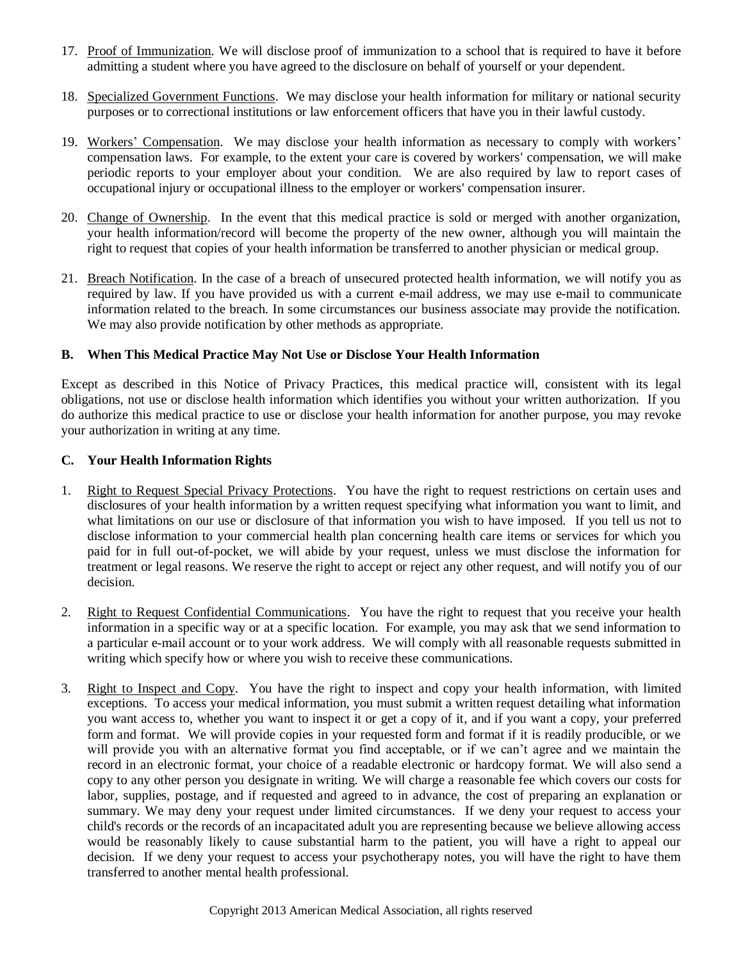- 17. Proof of Immunization. We will disclose proof of immunization to a school that is required to have it before admitting a student where you have agreed to the disclosure on behalf of yourself or your dependent.
- 18. Specialized Government Functions. We may disclose your health information for military or national security purposes or to correctional institutions or law enforcement officers that have you in their lawful custody.
- 19. Workers' Compensation. We may disclose your health information as necessary to comply with workers' compensation laws. For example, to the extent your care is covered by workers' compensation, we will make periodic reports to your employer about your condition. We are also required by law to report cases of occupational injury or occupational illness to the employer or workers' compensation insurer.
- 20. Change of Ownership. In the event that this medical practice is sold or merged with another organization, your health information/record will become the property of the new owner, although you will maintain the right to request that copies of your health information be transferred to another physician or medical group.
- 21. Breach Notification. In the case of a breach of unsecured protected health information, we will notify you as required by law. If you have provided us with a current e-mail address, we may use e-mail to communicate information related to the breach. In some circumstances our business associate may provide the notification. We may also provide notification by other methods as appropriate.

### <span id="page-3-0"></span>**B. When This Medical Practice May Not Use or Disclose Your Health Information**

Except as described in this Notice of Privacy Practices, this medical practice will, consistent with its legal obligations, not use or disclose health information which identifies you without your written authorization. If you do authorize this medical practice to use or disclose your health information for another purpose, you may revoke your authorization in writing at any time.

### <span id="page-3-1"></span>**C. Your Health Information Rights**

- 1. Right to Request Special Privacy Protections. You have the right to request restrictions on certain uses and disclosures of your health information by a written request specifying what information you want to limit, and what limitations on our use or disclosure of that information you wish to have imposed. If you tell us not to disclose information to your commercial health plan concerning health care items or services for which you paid for in full out-of-pocket, we will abide by your request, unless we must disclose the information for treatment or legal reasons. We reserve the right to accept or reject any other request, and will notify you of our decision.
- 2. Right to Request Confidential Communications. You have the right to request that you receive your health information in a specific way or at a specific location. For example, you may ask that we send information to a particular e-mail account or to your work address. We will comply with all reasonable requests submitted in writing which specify how or where you wish to receive these communications.
- 3. Right to Inspect and Copy. You have the right to inspect and copy your health information, with limited exceptions. To access your medical information, you must submit a written request detailing what information you want access to, whether you want to inspect it or get a copy of it, and if you want a copy, your preferred form and format. We will provide copies in your requested form and format if it is readily producible, or we will provide you with an alternative format you find acceptable, or if we can't agree and we maintain the record in an electronic format, your choice of a readable electronic or hardcopy format. We will also send a copy to any other person you designate in writing. We will charge a reasonable fee which covers our costs for labor, supplies, postage, and if requested and agreed to in advance, the cost of preparing an explanation or summary. We may deny your request under limited circumstances. If we deny your request to access your child's records or the records of an incapacitated adult you are representing because we believe allowing access would be reasonably likely to cause substantial harm to the patient, you will have a right to appeal our decision. If we deny your request to access your psychotherapy notes, you will have the right to have them transferred to another mental health professional.